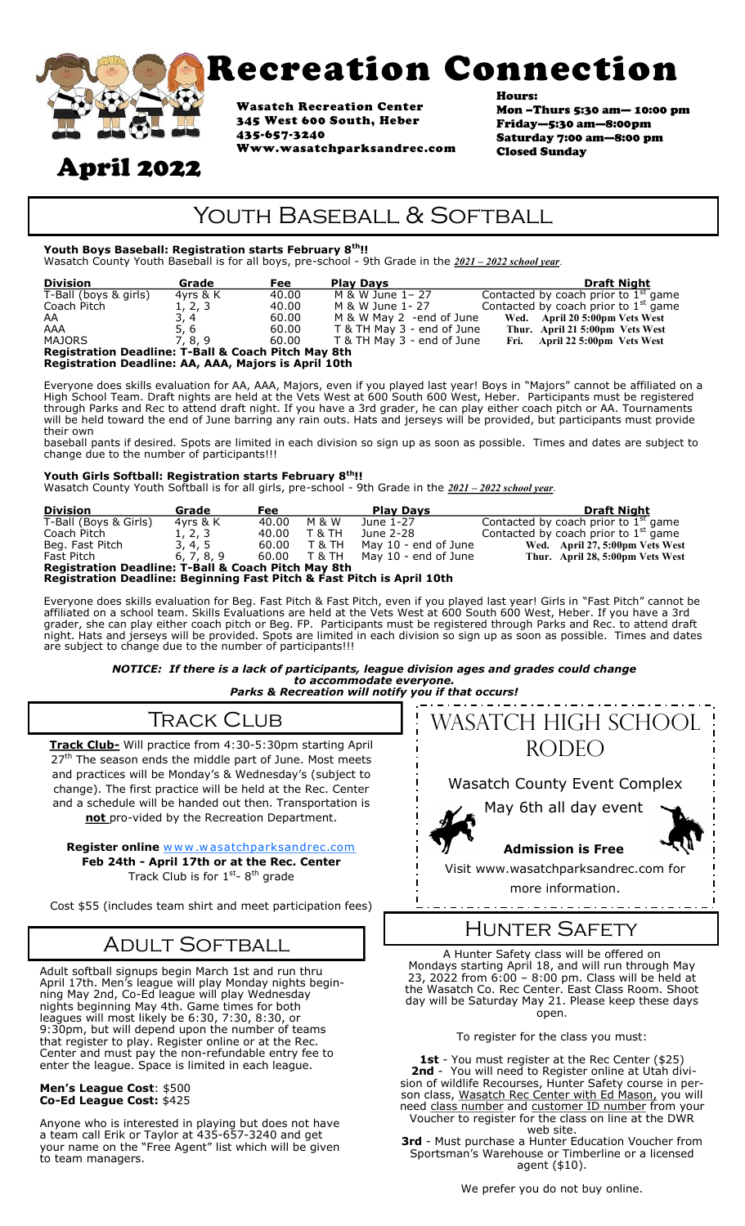

# Recreation Connection

Wasatch Recreation Center 345 West 600 South, Heber 435-657-3240 Www.wasatchparksandrec.com

Hours: Mon –Thurs 5:30 am— 10:00 pm Friday—5:30 am—8:00pm Saturday 7:00 am—8:00 pm Closed Sunday

## April 2022

### YOUTH BASEBALL & SOFTBALL

#### **Youth Boys Baseball: Registration starts February 8th!!**

Wasatch County Youth Baseball is for all boys, pre-school - 9th Grade in the *2021 – 2022 school year*.

| <b>Division</b>                                                | Grade    | <b>Fee</b> | <b>Play Davs</b>           | <b>Draft Night</b>                     |  |  |  |  |
|----------------------------------------------------------------|----------|------------|----------------------------|----------------------------------------|--|--|--|--|
| T-Ball (boys & girls)                                          | 4vrs & K | 40.00      | M & W June 1-27            | Contacted by coach prior to $1st$ game |  |  |  |  |
| Coach Pitch                                                    | 1, 2, 3  | 40.00      | M & W June 1- 27           | Contacted by coach prior to $1st$ game |  |  |  |  |
| AA                                                             | 3, 4     | 60.00      | M & W May 2 -end of June   | Wed. April 20 5:00pm Vets West         |  |  |  |  |
| AAA                                                            | 5, 6     | 60.00      | T & TH May 3 - end of June | Thur. April 21 5:00pm Vets West        |  |  |  |  |
| <b>MAJORS</b>                                                  | 7, 8, 9  | 60.00      | T & TH May 3 - end of June | Fri. April 22 5:00pm Vets West         |  |  |  |  |
| <b>Registration Deadline: T-Ball &amp; Coach Pitch May 8th</b> |          |            |                            |                                        |  |  |  |  |
| Registration Deadline: AA, AAA, Majors is April 10th           |          |            |                            |                                        |  |  |  |  |

Everyone does skills evaluation for AA, AAA, Majors, even if you played last year! Boys in "Majors" cannot be affiliated on a High School Team. Draft nights are held at the Vets West at 600 South 600 West, Heber. Participants must be registered through Parks and Rec to attend draft night. If you have a 3rd grader, he can play either coach pitch or AA. Tournaments will be held toward the end of June barring any rain outs. Hats and jerseys will be provided, but participants must provide their own

baseball pants if desired*.* Spots are limited in each division so sign up as soon as possible*.* Times and dates are subject to change due to the number of participants!!!

#### **Youth Girls Softball: Registration starts February 8th!!**

Wasatch County Youth Softball is for all girls, pre-school - 9th Grade in the *2021 – 2022 school year*.

| <b>Division</b>                                                        | Grade      | <b>Fee</b> |                   | <b>Play Davs</b>     | <b>Draft Night</b>                     |  |  |  |
|------------------------------------------------------------------------|------------|------------|-------------------|----------------------|----------------------------------------|--|--|--|
| T-Ball (Boys & Girls)                                                  | 4vrs & K   | 40.00      | M & W             | June 1-27            | Contacted by coach prior to $1st$ game |  |  |  |
| Coach Pitch                                                            | 1, 2, 3    | 40.00      | <b>T &amp; TH</b> | June 2-28            | Contacted by coach prior to $1st$ game |  |  |  |
| Beg. Fast Pitch                                                        | 3, 4, 5    | 60.00      | T & TH            | May 10 - end of June | Wed. April 27, 5:00pm Vets West        |  |  |  |
| Fast Pitch                                                             | 6, 7, 8, 9 |            | 60.00 T&TH        | May 10 - end of June | Thur. April 28, 5:00pm Vets West       |  |  |  |
| <b>Registration Deadline: T-Ball &amp; Coach Pitch May 8th</b>         |            |            |                   |                      |                                        |  |  |  |
| Registration Deadline: Beginning Fast Pitch & Fast Pitch is April 10th |            |            |                   |                      |                                        |  |  |  |

Everyone does skills evaluation for Beg. Fast Pitch & Fast Pitch, even if you played last year! Girls in "Fast Pitch" cannot be affiliated on a school team. Skills Evaluations are held at the Vets West at 600 South 600 West, Heber. If you have a 3rd grader, she can play either coach pitch or Beg. FP. Participants must be registered through Parks and Rec. to attend draft night. Hats and jerseys will be provided. Spots are limited in each division so sign up as soon as possible. Times and dates are subject to change due to the number of participants!!!

> *NOTICE: If there is a lack of participants, league division ages and grades could change to accommodate everyone.*



**Track Club-** Will practice from 4:30-5:30pm starting April 27<sup>th</sup> The season ends the middle part of June. Most meets and practices will be Monday's & Wednesday's (subject to change). The first practice will be held at the Rec. Center and a schedule will be handed out then. Transportation is not pro-vided by the Recreation Department.

**Register online** www.wasatchparksandrec.com **Feb 24th - April 17th or at the Rec. Center** Track Club is for 1<sup>st</sup>- 8<sup>th</sup> grade

Cost \$55 (includes team shirt and meet participation fees)

### Adult Softball

Adult softball signups begin March 1st and run thru April 17th. Men's league will play Monday nights beginning May 2nd, Co-Ed league will play Wednesday nights beginning May 4th. Game times for both leagues will most likely be 6:30, 7:30, 8:30, or 9:30pm, but will depend upon the number of teams that register to play. Register online or at the Rec. Center and must pay the non-refundable entry fee to enter the league. Space is limited in each league.

#### **Men's League Cost**: \$500 **Co-Ed League Cost:** \$425

Anyone who is interested in playing but does not have a team call Erik or Taylor at 435-657-3240 and get your name on the "Free Agent" list which will be given to team managers.



### Hunter Safety

A Hunter Safety class will be offered on Mondays starting April 18, and will run through May 23, 2022 from 6:00 – 8:00 pm. Class will be held at the Wasatch Co. Rec Center. East Class Room. Shoot day will be Saturday May 21. Please keep these days open.

To register for the class you must:

1st - You must register at the Rec Center (\$25) **2nd** - You will need to Register online at Utah division of wildlife Recourses, Hunter Safety course in person class, Wasatch Rec Center with Ed Mason, you will need class number and customer ID number from your Voucher to register for the class on line at the DWR web site.

**3rd** - Must purchase a Hunter Education Voucher from Sportsman's Warehouse or Timberline or a licensed agent (\$10).

We prefer you do not buy online.